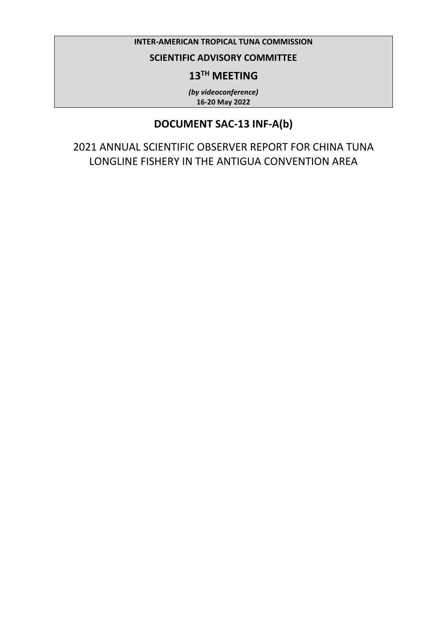### **INTER-AMERICAN TROPICAL TUNA COMMISSION**

## **SCIENTIFIC ADVISORY COMMITTEE**

## **13TH MEETING**

*(by videoconference)* **16-20 May 2022**

## **DOCUMENT SAC-13 INF-A(b)**

2021 ANNUAL SCIENTIFIC OBSERVER REPORT FOR CHINA TUNA LONGLINE FISHERY IN THE ANTIGUA CONVENTION AREA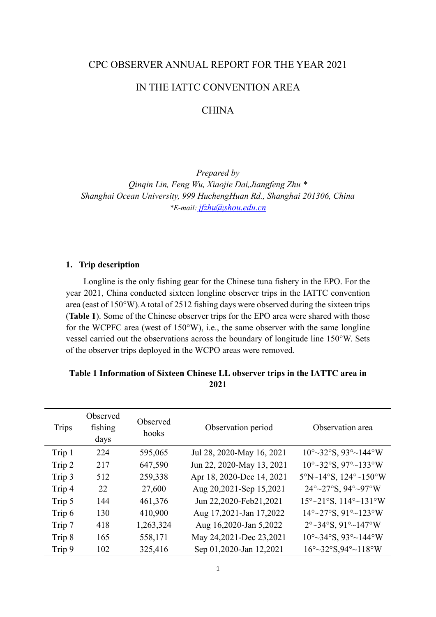#### CPC OBSERVER ANNUAL REPORT FOR THE YEAR 2021

### IN THE IATTC CONVENTION AREA

## **CHINA**

*Prepared by Qinqin Lin, Feng Wu, Xiaojie Dai,Jiangfeng Zhu \* Shanghai Ocean University, 999 HuchengHuan Rd., Shanghai 201306, China \*E-mail: [jfzhu@shou.edu.cn](mailto:jfzhu@shou.edu.cn)*

#### **1. Trip description**

Longline is the only fishing gear for the Chinese tuna fishery in the EPO. For the year 2021, China conducted sixteen longline observer trips in the IATTC convention area (east of 150°W).A total of 2512 fishing days were observed during the sixteen trips (**Table 1**). Some of the Chinese observer trips for the EPO area were shared with those for the WCPFC area (west of 150°W), i.e., the same observer with the same longline vessel carried out the observations across the boundary of longitude line 150°W. Sets of the observer trips deployed in the WCPO areas were removed.

### **Table 1 Information of Sixteen Chinese LL observer trips in the IATTC area in 2021**

| <b>Trips</b> | Observed<br>fishing<br>days | Observed<br>hooks | Observation period        | Observation area                           |
|--------------|-----------------------------|-------------------|---------------------------|--------------------------------------------|
| Trip 1       | 224                         | 595,065           | Jul 28, 2020-May 16, 2021 | $10^{\circ}$ ~32°S, 93°~144°W              |
| Trip 2       | 217                         | 647,590           | Jun 22, 2020-May 13, 2021 | $10^{\circ}$ ~32°S, 97°~133°W              |
| Trip 3       | 512                         | 259,338           | Apr 18, 2020-Dec 14, 2021 | $5^{\circ}$ N~14°S, 124°~150°W             |
| Trip 4       | 22                          | 27,600            | Aug 20,2021-Sep 15,2021   | 24°~27°S, 94°~97°W                         |
| Trip 5       | 144                         | 461,376           | Jun 22,2020-Feb21,2021    | $15^{\circ}$ ~ 21°S, $114^{\circ}$ ~ 131°W |
| Trip 6       | 130                         | 410,900           | Aug 17,2021-Jan 17,2022   | $14^{\circ}$ ~ 27°S, $91^{\circ}$ ~ 123°W  |
| Trip 7       | 418                         | 1,263,324         | Aug 16,2020-Jan 5,2022    | $2^{\circ}$ ~34°S, 91°~147°W               |
| Trip 8       | 165                         | 558,171           | May 24,2021-Dec 23,2021   | $10^{\circ}$ ~34°S, 93°~144°W              |
| Trip 9       | 102                         | 325,416           | Sep 01,2020-Jan 12,2021   | $16^{\circ}$ ~32°S,94°~118°W               |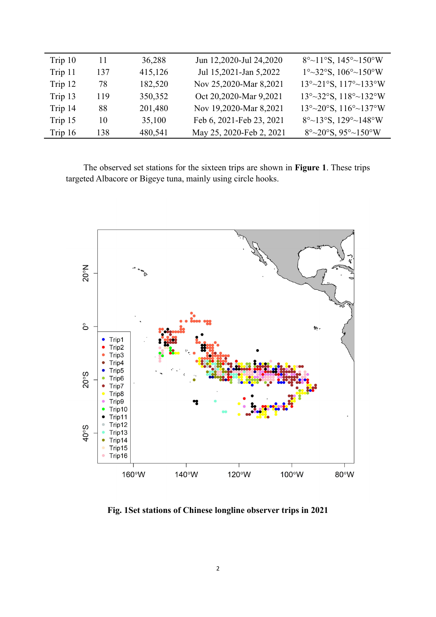| Trip 10 | 11  | 36,288  | Jun 12,2020-Jul 24,2020  | $8^{\circ}$ ~11°S, 145°~150°W                                     |
|---------|-----|---------|--------------------------|-------------------------------------------------------------------|
| Trip 11 | 137 | 415,126 | Jul 15,2021-Jan 5,2022   | $1^{\circ}$ ~32°S, $106^{\circ}$ ~150°W                           |
| Trip 12 | 78  | 182,520 | Nov 25,2020-Mar 8,2021   | $13^{\circ}$ ~ $21^{\circ}$ S, $117^{\circ}$ ~ $133^{\circ}$ W    |
| Trip 13 | 119 | 350,352 | Oct 20,2020-Mar 9,2021   | $13^{\circ}$ ~ 32°S, $118^{\circ}$ ~ 132°W                        |
| Trip 14 | 88  | 201,480 | Nov 19,2020-Mar 8,2021   | $13^{\circ}$ ~ 20 $^{\circ}$ S, 116 $^{\circ}$ ~ 137 $^{\circ}$ W |
| Trip 15 | 10  | 35,100  | Feb 6, 2021-Feb 23, 2021 | $8^{\circ}$ ~13°S, 129°~148°W                                     |
| Trip 16 | 138 | 480,541 | May 25, 2020-Feb 2, 2021 | $8^{\circ}$ ~20 $^{\circ}$ S, 95 $^{\circ}$ ~150 $^{\circ}$ W     |

The observed set stations for the sixteen trips are shown in **Figure 1**. These trips targeted Albacore or Bigeye tuna, mainly using circle hooks.



**Fig. 1Set stations of Chinese longline observer trips in 2021**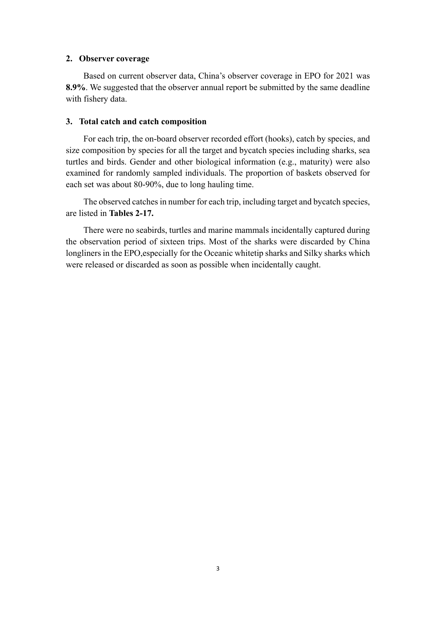#### **2. Observer coverage**

Based on current observer data, China's observer coverage in EPO for 2021 was **8.9%**. We suggested that the observer annual report be submitted by the same deadline with fishery data.

#### **3. Total catch and catch composition**

For each trip, the on-board observer recorded effort (hooks), catch by species, and size composition by species for all the target and bycatch species including sharks, sea turtles and birds. Gender and other biological information (e.g., maturity) were also examined for randomly sampled individuals. The proportion of baskets observed for each set was about 80-90%, due to long hauling time.

The observed catches in number for each trip, including target and bycatch species, are listed in **Tables 2-17.** 

There were no seabirds, turtles and marine mammals incidentally captured during the observation period of sixteen trips. Most of the sharks were discarded by China longliners in the EPO, especially for the Oceanic whitetip sharks and Silky sharks which were released or discarded as soon as possible when incidentally caught.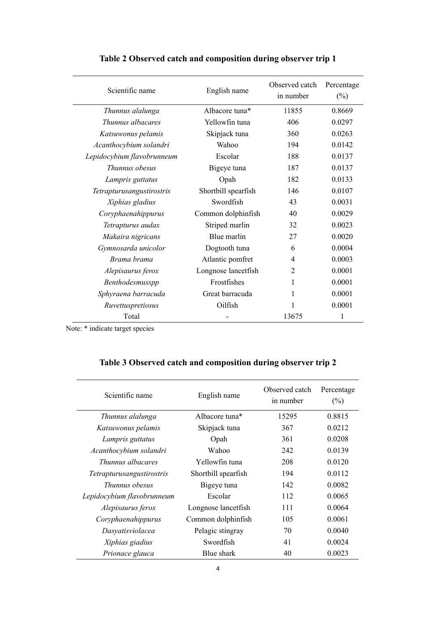| Scientific name            | English name        | Observed catch<br>in number | Percentage<br>$(\%)$ |
|----------------------------|---------------------|-----------------------------|----------------------|
| Thunnus alalunga           | Albacore tuna*      | 11855                       | 0.8669               |
| Thunnus albacares          | Yellowfin tuna      | 406                         | 0.0297               |
| Katsuwonus pelamis         | Skipjack tuna       | 360                         | 0.0263               |
| Acanthocybium solandri     | Wahoo               | 194                         | 0.0142               |
| Lepidocybium flavobrunneum | Escolar             | 188                         | 0.0137               |
| Thunnus obesus             | Bigeye tuna         | 187                         | 0.0137               |
| Lampris guttatus           | Opah                | 182                         | 0.0133               |
| Tetrapturusangustirostris  | Shortbill spearfish | 146                         | 0.0107               |
| Xiphias gladius            | Swordfish           | 43                          | 0.0031               |
| Coryphaenahippurus         | Common dolphinfish  | 40                          | 0.0029               |
| Tetrapturus audax          | Striped marlin      | 32                          | 0.0023               |
| Makaira nigricans          | Blue marlin         | 27                          | 0.0020               |
| Gymnosarda unicolor        | Dogtooth tuna       | 6                           | 0.0004               |
| Brama brama                | Atlantic pomfret    | 4                           | 0.0003               |
| Alepisaurus ferox          | Longnose lancetfish | 2                           | 0.0001               |
| Benthodesmusspp            | Frostfishes         | 1                           | 0.0001               |
| Sphyraena barracuda        | Great barracuda     | 1                           | 0.0001               |
| Ruvettuspretiosus          | Oilfish             |                             | 0.0001               |
| Total                      |                     | 13675                       | 1                    |

## **Table 2 Observed catch and composition during observer trip 1**

Note: \* indicate target species

# **Table 3 Observed catch and composition during observer trip 2**

| Scientific name            | English name               | Observed catch<br>in number | Percentage<br>$(\%)$ |
|----------------------------|----------------------------|-----------------------------|----------------------|
| Thunnus alalunga           | Albacore tuna <sup>*</sup> | 15295                       | 0.8815               |
| Katsuwonus pelamis         | Skipjack tuna              | 367                         | 0.0212               |
| Lampris guttatus           | Opah                       | 361                         | 0.0208               |
| Acanthocybium solandri     | Wahoo                      | 242                         | 0.0139               |
| Thunnus albacares          | Yellowfin tuna             | 208                         | 0.0120               |
| Tetrapturusangustirostris  | Shortbill spearfish        | 194                         | 0.0112               |
| Thunnus obesus             | Bigeye tuna                | 142                         | 0.0082               |
| Lepidocybium flavobrunneum | Escolar                    | 112                         | 0.0065               |
| Alepisaurus ferox          | Longnose lancetfish        | 111                         | 0.0064               |
| Coryphaenahippurus         | Common dolphinfish         | 105                         | 0.0061               |
| Dasyatisviolacea           | Pelagic stingray           | 70                          | 0.0040               |
| Xiphias giadius            | Swordfish                  | 41                          | 0.0024               |
| Prionace glauca            | Blue shark                 | 40                          | 0.0023               |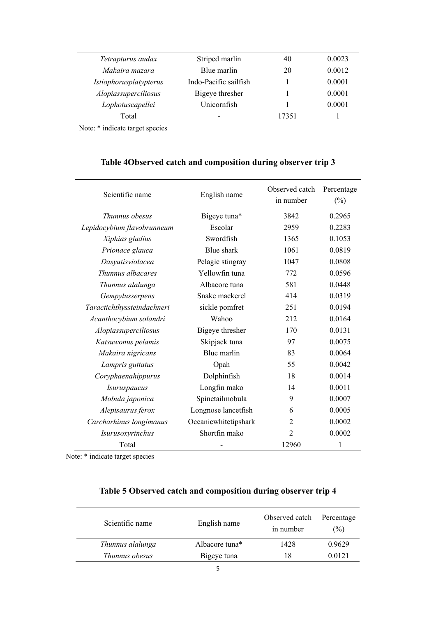| Tetrapturus audax      | Striped marlin        | 40    | 0.0023 |
|------------------------|-----------------------|-------|--------|
| Makaira mazara         | Blue marlin           | 20    | 0.0012 |
| Istiophorusplatypterus | Indo-Pacific sailfish |       | 0.0001 |
| Alopiassuperciliosus   | Bigeye thresher       |       | 0.0001 |
| Lophotuscapellei       | Unicornfish           |       | 0.0001 |
| Total                  | -                     | 17351 |        |
|                        |                       |       |        |

# **Table 4Observed catch and composition during observer trip 3**

| Scientific name            | English name         | Observed catch<br>in number | Percentage<br>$(\%)$ |
|----------------------------|----------------------|-----------------------------|----------------------|
| Thunnus obesus             | Bigeye tuna*         | 3842                        | 0.2965               |
| Lepidocybium flavobrunneum | Escolar              | 2959                        | 0.2283               |
| Xiphias gladius            | Swordfish            | 1365                        | 0.1053               |
| Prionace glauca            | Blue shark           | 1061                        | 0.0819               |
| Dasyatisviolacea           | Pelagic stingray     | 1047                        | 0.0808               |
| Thunnus albacares          | Yellowfin tuna       | 772                         | 0.0596               |
| Thunnus alalunga           | Albacore tuna        | 581                         | 0.0448               |
| Gempylusserpens            | Snake mackerel       | 414                         | 0.0319               |
| Taractichthyssteindachneri | sickle pomfret       | 251                         | 0.0194               |
| Acanthocybium solandri     | Wahoo                | 212                         | 0.0164               |
| Alopiassuperciliosus       | Bigeye thresher      | 170                         | 0.0131               |
| Katsuwonus pelamis         | Skipjack tuna        | 97                          | 0.0075               |
| Makaira nigricans          | Blue marlin          | 83                          | 0.0064               |
| Lampris guttatus           | Opah                 | 55                          | 0.0042               |
| Coryphaenahippurus         | Dolphinfish          | 18                          | 0.0014               |
| <i>Isuruspaucus</i>        | Longfin mako         | 14                          | 0.0011               |
| Mobula japonica            | Spinetailmobula      | 9                           | 0.0007               |
| Alepisaurus ferox          | Longnose lancetfish  | 6                           | 0.0005               |
| Carcharhinus longimanus    | Oceanicwhitetipshark | $\overline{2}$              | 0.0002               |
| Isurusoxyrinchus           | Shortfin mako        | $\overline{2}$              | 0.0002               |
| Total                      |                      | 12960                       | 1                    |

Note: \* indicate target species

## **Table 5 Observed catch and composition during observer trip 4**

| Scientific name  | English name               | Observed catch<br>in number | Percentage<br>$\frac{1}{2}$ |
|------------------|----------------------------|-----------------------------|-----------------------------|
| Thunnus alalunga | Albacore tuna <sup>*</sup> | 1428                        | 0.9629                      |
| Thunnus obesus   | Bigeye tuna                | 18                          | 0.0121                      |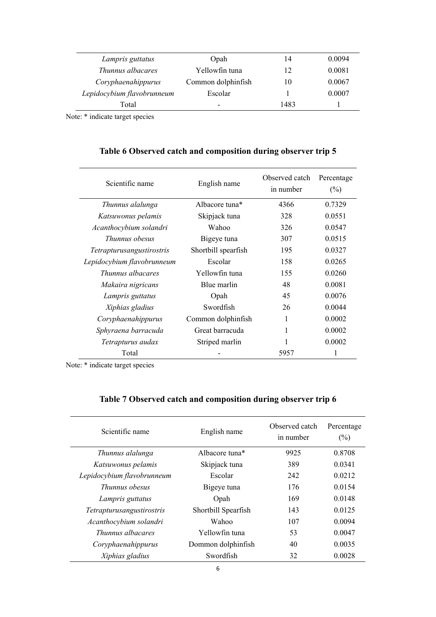| Lampris guttatus           | Opah                     | 14   | 0.0094 |
|----------------------------|--------------------------|------|--------|
| Thunnus albacares          | Yellowfin tuna           | 12   | 0.0081 |
| Coryphaenahippurus         | Common dolphinfish       | 10   | 0.0067 |
| Lepidocybium flavobrunneum | Escolar                  |      | 0.0007 |
| Total                      | $\overline{\phantom{0}}$ | 1483 |        |

| Table 6 Observed catch and composition during observer trip 5 |  |  |  |  |  |  |
|---------------------------------------------------------------|--|--|--|--|--|--|
|---------------------------------------------------------------|--|--|--|--|--|--|

| Scientific name                  | English name               | Observed catch<br>in number | Percentage<br>$(\%)$ |
|----------------------------------|----------------------------|-----------------------------|----------------------|
| Thunnus alalunga                 | Albacore tuna <sup>*</sup> | 4366                        | 0.7329               |
| Katsuwonus pelamis               | Skipjack tuna              | 328                         | 0.0551               |
| Acanthocybium solandri           | Wahoo                      | 326                         | 0.0547               |
| <i>Thunnus obesus</i>            | Bigeye tuna                | 307                         | 0.0515               |
| <i>Tetrapturusangustirostris</i> | Shortbill spearfish        | 195                         | 0.0327               |
| Lepidocybium flavobrunneum       | Escolar                    | 158                         | 0.0265               |
| Thunnus albacares                | Yellowfin tuna             | 155                         | 0.0260               |
| Makaira nigricans                | Blue marlin                | 48                          | 0.0081               |
| Lampris guttatus                 | Opah                       | 45                          | 0.0076               |
| Xiphias gladius                  | Swordfish                  | 26                          | 0.0044               |
| Coryphaenahippurus               | Common dolphinfish         | 1                           | 0.0002               |
| Sphyraena barracuda              | Great barracuda            |                             | 0.0002               |
| Tetrapturus audax                | Striped marlin             |                             | 0.0002               |
| Total                            |                            | 5957                        | 1                    |

Note: \* indicate target species

| Scientific name            | English name        | Observed catch<br>in number | Percentage<br>$(\%)$ |
|----------------------------|---------------------|-----------------------------|----------------------|
| Thunnus alalunga           | Albacore tuna*      | 9925                        | 0.8708               |
| Katsuwonus pelamis         | Skipjack tuna       | 389                         | 0.0341               |
| Lepidocybium flavobrunneum | Escolar             | 242                         | 0.0212               |
| <i>Thunnus obesus</i>      | Bigeye tuna         | 176                         | 0.0154               |
| Lampris guttatus           | Opah                | 169                         | 0.0148               |
| Tetrapturusangustirostris  | Shortbill Spearfish | 143                         | 0.0125               |
| Acanthocybium solandri     | Wahoo               | 107                         | 0.0094               |
| Thunnus albacares          | Yellowfin tuna      | 53                          | 0.0047               |
| Coryphaenahippurus         | Dommon dolphinfish  | 40                          | 0.0035               |
| Xiphias gladius            | Swordfish           | 32                          | 0.0028               |

# **Table 7 Observed catch and composition during observer trip 6**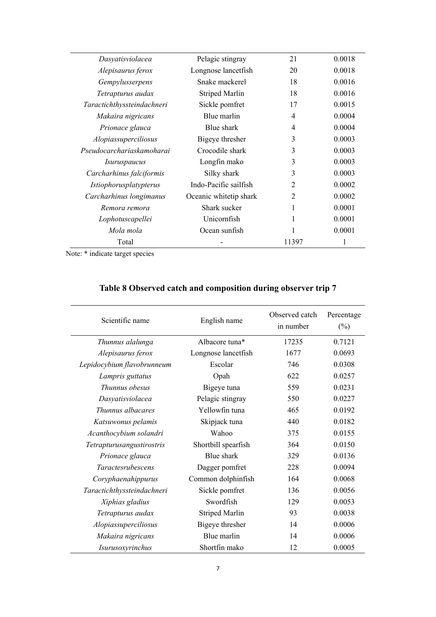| Pelagic stingray       | 21             | 0.0018 |
|------------------------|----------------|--------|
| Longnose lancetfish    | 20             | 0.0018 |
| Snake mackerel         | 18             | 0.0016 |
| <b>Striped Marlin</b>  | 18             | 0.0016 |
| Sickle pomfret         | 17             | 0.0015 |
| Blue marlin            | 4              | 0.0004 |
| Blue shark             | 4              | 0.0004 |
| Bigeye thresher        | 3              | 0.0003 |
| Crocodile shark        | 3              | 0.0003 |
| Longfin mako           | 3              | 0.0003 |
| Silky shark            | 3              | 0.0003 |
| Indo-Pacific sailfish  | $\overline{2}$ | 0.0002 |
| Oceanic whitetip shark | $\overline{2}$ | 0.0002 |
| Shark sucker           | 1              | 0.0001 |
| Unicornfish            | 1              | 0.0001 |
| Ocean sunfish          | 1              | 0.0001 |
|                        | 11397          | 1      |
|                        |                |        |

 $\overline{\phantom{a}}$ 

| Scientific name            | English name          | Observed catch<br>in number | Percentage<br>$(\%)$ |
|----------------------------|-----------------------|-----------------------------|----------------------|
| Thunnus alalunga           | Albacore tuna*        | 17235                       | 0.7121               |
| Alepisaurus ferox          | Longnose lancetfish   | 1677                        | 0.0693               |
| Lepidocybium flavobrunneum | Escolar               | 746                         | 0.0308               |
| Lampris guttatus           | Opah                  | 622                         | 0.0257               |
| Thunnus obesus             | Bigeye tuna           | 559                         | 0.0231               |
| Dasyatisviolacea           | Pelagic stingray      | 550                         | 0.0227               |
| Thunnus albacares          | Yellowfin tuna        | 465                         | 0.0192               |
| Katsuwonus pelamis         | Skipjack tuna         | 440                         | 0.0182               |
| Acanthocybium solandri     | Wahoo                 | 375                         | 0.0155               |
| Tetrapturusangustirostris  | Shortbill spearfish   | 364                         | 0.0150               |
| Prionace glauca            | Blue shark            | 329                         | 0.0136               |
| <i>Taractesrubescens</i>   | Dagger pomfret        | 228                         | 0.0094               |
| Coryphaenahippurus         | Common dolphinfish    | 164                         | 0.0068               |
| Taractichthyssteindachneri | Sickle pomfret        | 136                         | 0.0056               |
| Xiphias gladius            | Swordfish             | 129                         | 0.0053               |
| Tetrapturus audax          | <b>Striped Marlin</b> | 93                          | 0.0038               |
| Alopiassuperciliosus       | Bigeye thresher       | 14                          | 0.0006               |
| Makaira nigricans          | Blue marlin           | 14                          | 0.0006               |
| Isurusoxyrinchus           | Shortfin mako         | 12                          | 0.0005               |

# **Table 8 Observed catch and composition during observer trip 7**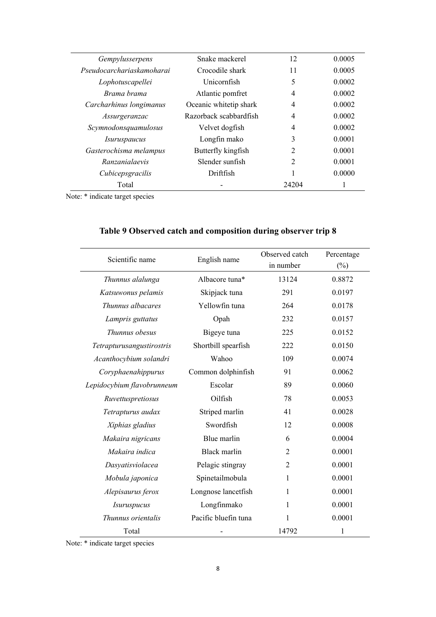| Gempylusserpens           | Snake mackerel         | 12             | 0.0005 |
|---------------------------|------------------------|----------------|--------|
| Pseudocarchariaskamoharai | Crocodile shark        | 11             | 0.0005 |
| Lophotuscapellei          | Unicornfish            | 5              | 0.0002 |
| Brama brama               | Atlantic pomfret       | 4              | 0.0002 |
| Carcharhinus longimanus   | Oceanic whitetip shark | 4              | 0.0002 |
| Assurgeranzac             | Razorback scabbardfish | 4              | 0.0002 |
| Scymnodonsquamulosus      | Velvet dogfish         | 4              | 0.0002 |
| <i>Isuruspaucus</i>       | Longfin mako           | 3              | 0.0001 |
| Gasterochisma melampus    | Butterfly kingfish     | $\overline{2}$ | 0.0001 |
| Ranzanialaevis            | Slender sunfish        | $\overline{2}$ | 0.0001 |
| Cubicepsgracilis          | Driftfish              | 1              | 0.0000 |
| Total                     |                        | 24204          |        |

|                            |                      | Observed catch | Percentage |
|----------------------------|----------------------|----------------|------------|
| Scientific name            | English name         | in number      | $(\%)$     |
| Thunnus alalunga           | Albacore tuna*       | 13124          | 0.8872     |
| Katsuwonus pelamis         | Skipjack tuna        | 291            | 0.0197     |
| Thunnus albacares          | Yellowfin tuna       | 264            | 0.0178     |
| Lampris guttatus           | Opah                 | 232            | 0.0157     |
| Thunnus obesus             | Bigeye tuna          | 225            | 0.0152     |
| Tetrapturusangustirostris  | Shortbill spearfish  | 222            | 0.0150     |
| Acanthocybium solandri     | Wahoo                | 109            | 0.0074     |
| Coryphaenahippurus         | Common dolphinfish   | 91             | 0.0062     |
| Lepidocybium flavobrunneum | Escolar              | 89             | 0.0060     |
| Ruvettuspretiosus          | Oilfish              | 78             | 0.0053     |
| Tetrapturus audax          | Striped marlin       | 41             | 0.0028     |
| Xiphias gladius            | Swordfish            | 12             | 0.0008     |
| Makaira nigricans          | Blue marlin          | 6              | 0.0004     |
| Makaira indica             | <b>Black marlin</b>  | $\overline{2}$ | 0.0001     |
| Dasyatisviolacea           | Pelagic stingray     | $\overline{2}$ | 0.0001     |
| Mobula japonica            | Spinetailmobula      | 1              | 0.0001     |
| Alepisaurus ferox          | Longnose lancetfish  | 1              | 0.0001     |
| <i>Isuruspucus</i>         | Longfinmako          | 1              | 0.0001     |
| Thunnus orientalis         | Pacific bluefin tuna | 1              | 0.0001     |
| Total                      |                      | 14792          | 1          |

# **Table 9 Observed catch and composition during observer trip 8**

Note: \* indicate target species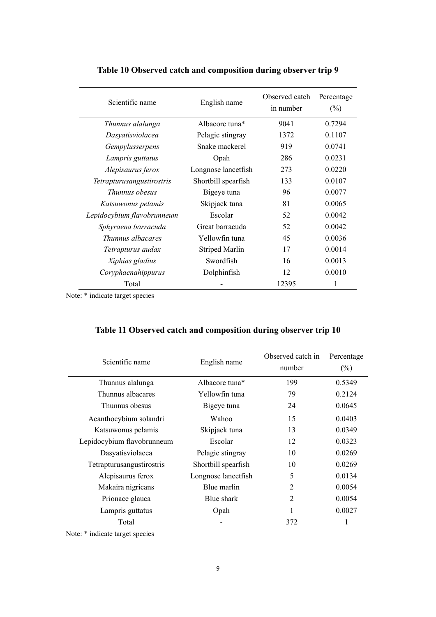| Scientific name            | English name          | Observed catch<br>in number | Percentage<br>$(\%)$ |
|----------------------------|-----------------------|-----------------------------|----------------------|
| Thunnus alalunga           | Albacore tuna*        | 9041                        | 0.7294               |
| Dasyatisviolacea           | Pelagic stingray      | 1372                        | 0.1107               |
| Gempylusserpens            | Snake mackerel        | 919                         | 0.0741               |
| Lampris guttatus           | Opah                  | 286                         | 0.0231               |
| Alepisaurus ferox          | Longnose lancetfish   | 273                         | 0.0220               |
| Tetrapturusangustirostris  | Shortbill spearfish   | 133                         | 0.0107               |
| <i>Thunnus obesus</i>      | Bigeye tuna           | 96                          | 0.0077               |
| Katsuwonus pelamis         | Skipjack tuna         | 81                          | 0.0065               |
| Lepidocybium flavobrunneum | Escolar               | 52                          | 0.0042               |
| Sphyraena barracuda        | Great barracuda       | 52                          | 0.0042               |
| <i>Thunnus albacares</i>   | Yellowfin tuna        | 45                          | 0.0036               |
| Tetrapturus audax          | <b>Striped Marlin</b> | 17                          | 0.0014               |
| Xiphias gladius            | Swordfish             | 16                          | 0.0013               |
| Coryphaenahippurus         | Dolphinfish           | 12                          | 0.0010               |
| Total                      |                       | 12395                       | 1                    |

## **Table 10 Observed catch and composition during observer trip 9**

Note: \* indicate target species

| Scientific name            | English name               | Observed catch in<br>number | Percentage<br>$(\%)$ |
|----------------------------|----------------------------|-----------------------------|----------------------|
| Thunnus alalunga           | Albacore tuna <sup>*</sup> | 199                         | 0.5349               |
| Thunnus albacares          | Yellowfin tuna             | 79                          | 0.2124               |
| Thunnus obesus             | Bigeye tuna                | 24                          | 0.0645               |
| Acanthocybium solandri     | Wahoo                      | 15                          | 0.0403               |
| Katsuwonus pelamis         | Skipjack tuna              | 13                          | 0.0349               |
| Lepidocybium flavobrunneum | Escolar                    | 12                          | 0.0323               |
| Dasyatisviolacea           | Pelagic stingray           | 10                          | 0.0269               |
| Tetrapturusangustirostris  | Shortbill spearfish        | 10                          | 0.0269               |
| Alepisaurus ferox          | Longnose lancetfish        | 5                           | 0.0134               |
| Makaira nigricans          | Blue marlin                | $\overline{2}$              | 0.0054               |
| Prionace glauca            | Blue shark                 | $\mathfrak{D}$              | 0.0054               |
| Lampris guttatus           | Opah                       | 1                           | 0.0027               |
| Total                      |                            | 372                         | 1                    |

# **Table 11 Observed catch and composition during observer trip 10**

Note: \* indicate target species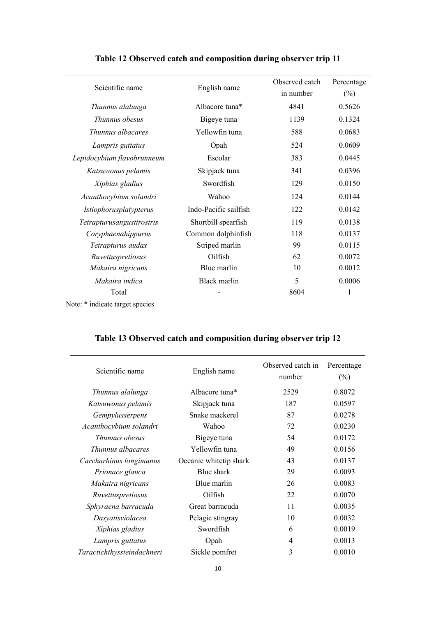| Scientific name            | English name          | Observed catch<br>in number | Percentage<br>$(\%)$ |
|----------------------------|-----------------------|-----------------------------|----------------------|
| Thunnus alalunga           | Albacore tuna*        | 4841                        | 0.5626               |
| Thunnus obesus             | Bigeye tuna           | 1139                        | 0.1324               |
| <i>Thunnus albacares</i>   | Yellowfin tuna        | 588                         | 0.0683               |
| Lampris guttatus           | Opah                  | 524                         | 0.0609               |
| Lepidocybium flavobrunneum | Escolar               | 383                         | 0.0445               |
| Katsuwonus pelamis         | Skipjack tuna         | 341                         | 0.0396               |
| Xiphias gladius            | Swordfish             | 129                         | 0.0150               |
| Acanthocybium solandri     | Wahoo                 | 124                         | 0.0144               |
| Istiophorusplatypterus     | Indo-Pacific sailfish | 122                         | 0.0142               |
| Tetrapturusangustirostris  | Shortbill spearfish   | 119                         | 0.0138               |
| Coryphaenahippurus         | Common dolphinfish    | 118                         | 0.0137               |
| Tetrapturus audax          | Striped marlin        | 99                          | 0.0115               |
| Ruvettuspretiosus          | Oilfish               | 62                          | 0.0072               |
| Makaira nigricans          | Blue marlin           | 10                          | 0.0012               |
| Makaira indica             | Black marlin          | 5                           | 0.0006               |
| Total                      |                       | 8604                        | 1                    |

## **Table 12 Observed catch and composition during observer trip 11**

Note: \* indicate target species

| Scientific name            | English name               | Observed catch in<br>number | Percentage<br>$(\%)$ |
|----------------------------|----------------------------|-----------------------------|----------------------|
| Thunnus alalunga           | Albacore tuna <sup>*</sup> | 2529                        | 0.8072               |
| Katsuwonus pelamis         | Skipjack tuna              | 187                         | 0.0597               |
| Gempylusserpens            | Snake mackerel             | 87                          | 0.0278               |
| Acanthocybium solandri     | Wahoo                      | 72                          | 0.0230               |
| Thunnus obesus             | Bigeye tuna                | 54                          | 0.0172               |
| <i>Thunnus albacares</i>   | Yellowfin tuna             | 49                          | 0.0156               |
| Carcharhinus longimanus    | Oceanic whitetip shark     | 43                          | 0.0137               |
| Prionace glauca            | Blue shark                 | 29                          | 0.0093               |
| Makaira nigricans          | Blue marlin                | 26                          | 0.0083               |
| Ruvettuspretiosus          | Oilfish                    | 22                          | 0.0070               |
| Sphyraena barracuda        | Great barracuda            | 11                          | 0.0035               |
| Dasyatisviolacea           | Pelagic stingray           | 10                          | 0.0032               |
| Xiphias gladius            | Swordfish                  | 6                           | 0.0019               |
| Lampris guttatus           | Opah                       | 4                           | 0.0013               |
| Taractichthyssteindachneri | Sickle pomfret             | 3                           | 0.0010               |

# **Table 13 Observed catch and composition during observer trip 12**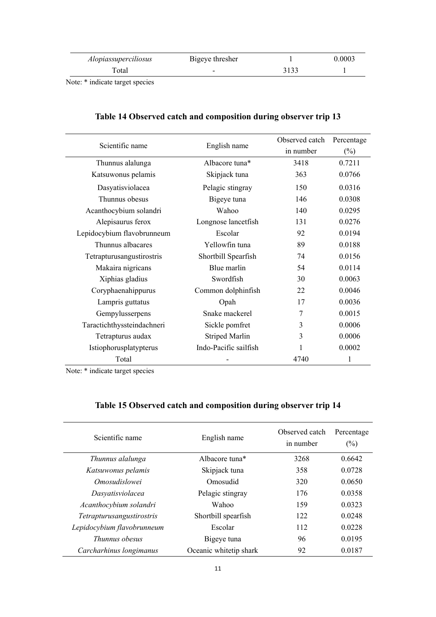| <i>Alopiassuperciliosus</i> | Bigeye thresher          | 0.0003 |
|-----------------------------|--------------------------|--------|
| <b>Total</b>                | $\overline{\phantom{a}}$ |        |

| Scientific name            |                       | Observed catch | Percentage |
|----------------------------|-----------------------|----------------|------------|
|                            | English name          | in number      | $(\%)$     |
| Thunnus alalunga           | Albacore tuna*        | 3418           | 0.7211     |
| Katsuwonus pelamis         | Skipjack tuna         | 363            | 0.0766     |
| Dasyatisviolacea           | Pelagic stingray      | 150            | 0.0316     |
| Thunnus obesus             | Bigeye tuna           | 146            | 0.0308     |
| Acanthocybium solandri     | Wahoo                 | 140            | 0.0295     |
| Alepisaurus ferox          | Longnose lancetfish   | 131            | 0.0276     |
| Lepidocybium flavobrunneum | Escolar               | 92             | 0.0194     |
| Thunnus albacares          | Yellowfin tuna        | 89             | 0.0188     |
| Tetrapturusangustirostris  | Shortbill Spearfish   | 74             | 0.0156     |
| Makaira nigricans          | Blue marlin           | 54             | 0.0114     |
| Xiphias gladius            | Swordfish             | 30             | 0.0063     |
| Coryphaenahippurus         | Common dolphinfish    | 22             | 0.0046     |
| Lampris guttatus           | Opah                  | 17             | 0.0036     |
| Gempylusserpens            | Snake mackerel        | 7              | 0.0015     |
| Taractichthyssteindachneri | Sickle pomfret        | 3              | 0.0006     |
| Tetrapturus audax          | <b>Striped Marlin</b> | 3              | 0.0006     |
| Istiophorusplatypterus     | Indo-Pacific sailfish |                | 0.0002     |
| Total                      |                       | 4740           | 1          |

## **Table 14 Observed catch and composition during observer trip 13**

Note: \* indicate target species

| Scientific name            | English name               | Observed catch<br>in number | Percentage<br>$(\%)$ |
|----------------------------|----------------------------|-----------------------------|----------------------|
| Thunnus alalunga           | Albacore tuna <sup>*</sup> | 3268                        | 0.6642               |
| Katsuwonus pelamis         | Skipjack tuna              | 358                         | 0.0728               |
| <i>Omosudislowei</i>       | Omosudid                   | 320                         | 0.0650               |
| Dasyatisviolacea           | Pelagic stingray           | 176                         | 0.0358               |
| Acanthocybium solandri     | Wahoo                      | 159                         | 0.0323               |
| Tetrapturusangustirostris  | Shortbill spearfish        | 122                         | 0.0248               |
| Lepidocybium flavobrunneum | Escolar                    | 112                         | 0.0228               |
| Thunnus obesus             | Bigeye tuna                | 96                          | 0.0195               |
| Carcharhinus longimanus    | Oceanic whitetip shark     | 92                          | 0.0187               |

## **Table 15 Observed catch and composition during observer trip 14**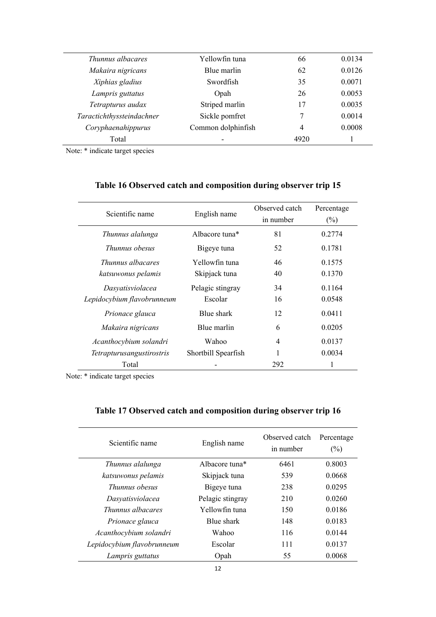| Thunnus albacares         | Yellowfin tuna     | 66   | 0.0134 |
|---------------------------|--------------------|------|--------|
| Makaira nigricans         | Blue marlin        | 62   | 0.0126 |
| Xiphias gladius           | Swordfish          | 35   | 0.0071 |
| Lampris guttatus          | Opah               | 26   | 0.0053 |
| Tetrapturus audax         | Striped marlin     | 17   | 0.0035 |
| Taractichthyssteindachner | Sickle pomfret     |      | 0.0014 |
| Coryphaenahippurus        | Common dolphinfish | 4    | 0.0008 |
| Total                     | ٠                  | 4920 |        |
|                           |                    |      |        |

| Scientific name            | English name               | Observed catch<br>in number | Percentage<br>$(\%)$ |
|----------------------------|----------------------------|-----------------------------|----------------------|
| Thunnus alalunga           | Albacore tuna <sup>*</sup> | 81                          | 0.2774               |
| Thunnus obesus             | Bigeye tuna                | 52                          | 0.1781               |
| Thunnus albacares          | Yellowfin tuna             | 46                          | 0.1575               |
| katsuwonus pelamis         | Skipjack tuna              | 40                          | 0.1370               |
| Dasyatisviolacea           | Pelagic stingray           | 34                          | 0.1164               |
| Lepidocybium flavobrunneum | Escolar                    | 16                          | 0.0548               |
| Prionace glauca            | Blue shark                 | 12                          | 0.0411               |
| Makaira nigricans          | Blue marlin                | 6                           | 0.0205               |
| Acanthocybium solandri     | Wahoo                      | 4                           | 0.0137               |
| Tetrapturusangustirostris  | Shortbill Spearfish        | 1                           | 0.0034               |
| Total                      |                            | 292                         |                      |

## **Table 16 Observed catch and composition during observer trip 15**

Note: \* indicate target species

## **Table 17 Observed catch and composition during observer trip 16**

| Scientific name            | English name               | Observed catch<br>in number | Percentage<br>$(\%)$ |  |
|----------------------------|----------------------------|-----------------------------|----------------------|--|
| Thunnus alalunga           | Albacore tuna <sup>*</sup> | 6461                        | 0.8003               |  |
| katsuwonus pelamis         | Skipjack tuna              | 539                         | 0.0668               |  |
| Thunnus obesus             | Bigeye tuna                | 238                         | 0.0295               |  |
| Dasyatisviolacea           | Pelagic stingray           | 210                         | 0.0260               |  |
| Thunnus albacares          | Yellowfin tuna             | 150                         | 0.0186               |  |
| Prionace glauca            | Blue shark                 | 148                         | 0.0183               |  |
| Acanthocybium solandri     | Wahoo                      | 116                         | 0.0144               |  |
| Lepidocybium flavobrunneum | Escolar                    | 111                         | 0.0137               |  |
| Lampris guttatus           | Opah                       | 55                          | 0.0068               |  |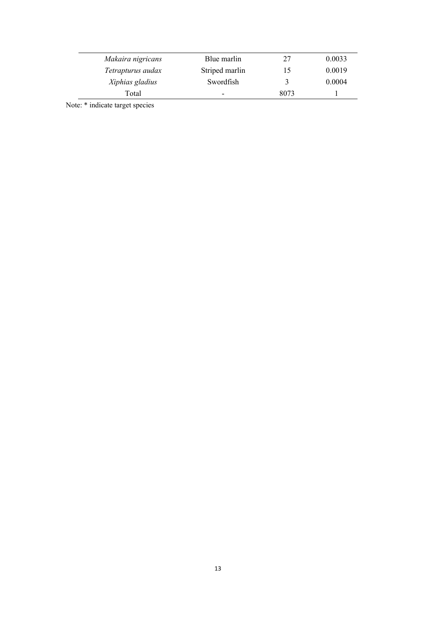| Makaira nigricans | Blue marlin              | 27            | 0.0033 |  |
|-------------------|--------------------------|---------------|--------|--|
| Tetrapturus audax | Striped marlin           | 15            | 0.0019 |  |
| Xiphias gladius   | Swordfish                | $\mathcal{R}$ | 0.0004 |  |
| Total             | $\overline{\phantom{0}}$ | 8073          |        |  |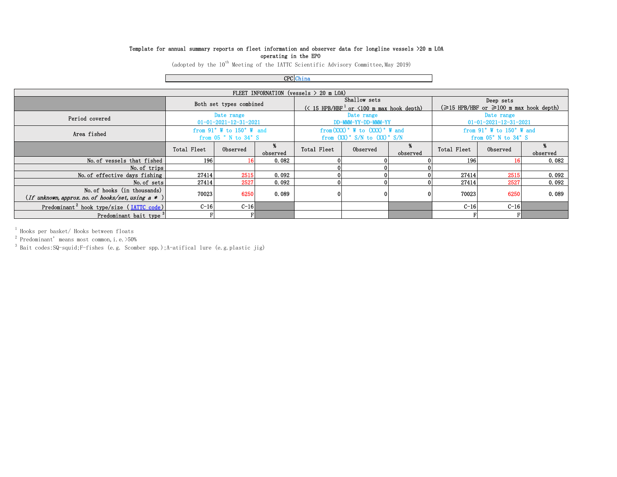#### Template for annual summary reports on fleet information and observer data for longline vessels >20 m LOA operating in the EPO

(adopted by the  $10^{th}$  Meeting of the IATTC Scientific Advisory Committee, May 2019)

CPC China

| FLEET INFORNATION (vessels $> 20$ m LOA)                                          |                                                                                  |                 |          |                                                                                                          |          |          |                                                                 |          |          |
|-----------------------------------------------------------------------------------|----------------------------------------------------------------------------------|-----------------|----------|----------------------------------------------------------------------------------------------------------|----------|----------|-----------------------------------------------------------------|----------|----------|
|                                                                                   | Both set types combined                                                          |                 |          | Shallow sets<br>$\left(\times$ 15 HPB/HBF <sup>1</sup> or $\leq$ 100 m max hook depth)                   |          |          | Deep sets<br>$(\geq 15$ HPB/HBF or $\geq 100$ m max hook depth) |          |          |
| Period covered                                                                    | Date range<br>$01 - 01 - 2021 - 12 - 31 - 2021$                                  |                 |          | Date range<br>DD-MMM-YY-DD-MMM-YY                                                                        |          |          | Date range<br>$01 - 01 - 2021 - 12 - 31 - 2021$                 |          |          |
| Area fished                                                                       | from $91^\circ$ W to $150^\circ$ W and<br>from $05$ $\degree$ N to $34\degree$ S |                 |          | from $(XXX)$ $\degree$ W to $(XXX)$ $\degree$ W and<br>from $(XX)$ $\degree$ S/N to $(XX)$ $\degree$ S/N |          |          | from $91^\circ$ W to $150^\circ$ W and<br>from 05°N to 34°S     |          |          |
|                                                                                   | Total Fleet                                                                      | Observed        | observed | Total Fleet                                                                                              | Observed | observed | Total Fleet                                                     | Observed | observed |
| No. of vessels that fished                                                        | 196                                                                              | 16 <sup>1</sup> | 0.082    |                                                                                                          |          |          | 196                                                             |          | 0.082    |
| No. of trips                                                                      |                                                                                  |                 |          |                                                                                                          |          |          |                                                                 |          |          |
| No. of effective days fishing                                                     | 27414                                                                            | 2515            | 0.092    |                                                                                                          |          |          | 27414                                                           | 2515     | 0.092    |
| No. of sets                                                                       | 27414                                                                            | 2527            | 0.092    |                                                                                                          | 01       |          | 27414                                                           | 2527     | 0.092    |
| No. of hooks (in thousands)<br>(If unknown, approx. no. of hooks/set, using a $*$ | 70023                                                                            | 6250            | 0.089    |                                                                                                          | 0        |          | 70023                                                           | 6250     | 0.089    |
| Predominant <sup>2</sup> hook type/size (IATTC code)                              | $C-16$                                                                           | $C-16$          |          |                                                                                                          |          |          | $C-16$                                                          | $C-16$   |          |
| Predominant bait type <sup>3</sup>                                                |                                                                                  | FI              |          |                                                                                                          |          |          |                                                                 |          |          |

1 Hooks per basket/ Hooks between floats

 $2$  Predominant' means most common, i.e.  $>50\%$ 

3 Bait codes:SQ-squid;F-fishes (e.g. Scomber spp.);A-atifical lure (e.g.plastic jig)